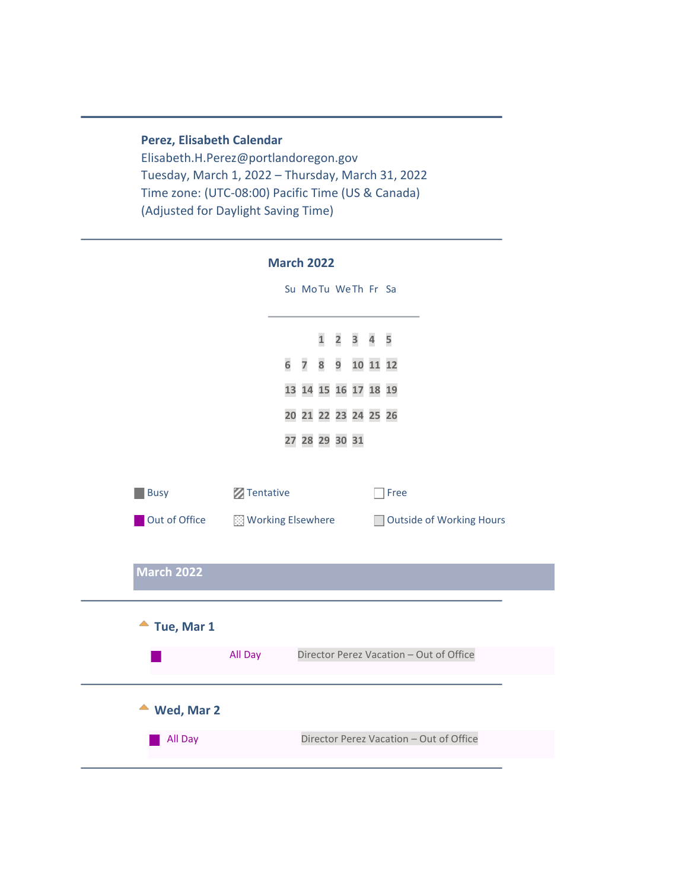**Perez, Elisabeth Calendar** Elisabeth.H.Perez@portlandoregon.gov Tuesday, March 1, 2022 – Thursday, March 31, 2022 Time zone: (UTC-08:00) Pacific Time (US & Canada) (Adjusted for Daylight Saving Time)

<span id="page-0-1"></span><span id="page-0-0"></span>

|                         |                    | <b>March 2022</b>    |                                     |  |      |                                         |                          |  |
|-------------------------|--------------------|----------------------|-------------------------------------|--|------|-----------------------------------------|--------------------------|--|
|                         |                    | Su MoTu WeTh Fr Sa   |                                     |  |      |                                         |                          |  |
|                         |                    |                      | $1 \quad 2 \quad 3 \quad 4 \quad 5$ |  |      |                                         |                          |  |
|                         |                    | 6 7 8 9 10 11 12     |                                     |  |      |                                         |                          |  |
|                         |                    | 13 14 15 16 17 18 19 |                                     |  |      |                                         |                          |  |
|                         |                    | 20 21 22 23 24 25 26 |                                     |  |      |                                         |                          |  |
|                         |                    | 27 28 29 30 31       |                                     |  |      |                                         |                          |  |
|                         |                    |                      |                                     |  |      |                                         |                          |  |
| <b>Busy</b>             | <b>Z</b> Tentative |                      |                                     |  | Free |                                         |                          |  |
| Out of Office           | Working Elsewhere  |                      |                                     |  |      |                                         | Outside of Working Hours |  |
|                         |                    |                      |                                     |  |      |                                         |                          |  |
| <b>March 2022</b>       |                    |                      |                                     |  |      |                                         |                          |  |
|                         |                    |                      |                                     |  |      |                                         |                          |  |
| $\triangle$ Tue, Mar 1  |                    |                      |                                     |  |      |                                         |                          |  |
|                         | All Day            |                      |                                     |  |      | Director Perez Vacation - Out of Office |                          |  |
|                         |                    |                      |                                     |  |      |                                         |                          |  |
| $\triangleq$ Wed, Mar 2 |                    |                      |                                     |  |      |                                         |                          |  |
| All Day                 |                    |                      |                                     |  |      | Director Perez Vacation - Out of Office |                          |  |
|                         |                    |                      |                                     |  |      |                                         |                          |  |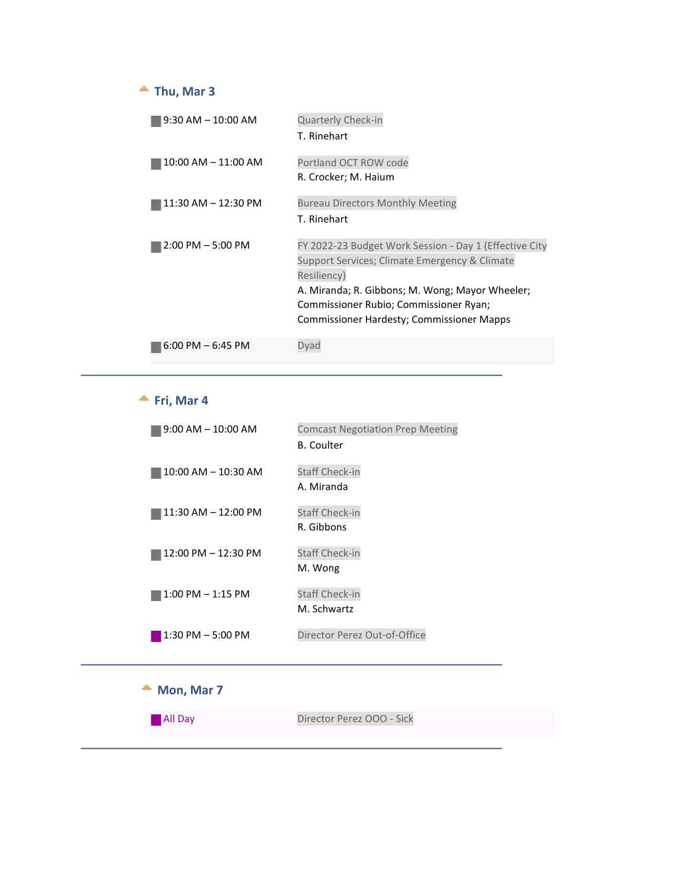#### $\triangle$  Thu, Mar 3

<span id="page-1-0"></span>

| $9:30$ AM $-$ 10:00 AM  | Quarterly Check-in<br>T. Rinehart                                                                                                                                                                                                                                |
|-------------------------|------------------------------------------------------------------------------------------------------------------------------------------------------------------------------------------------------------------------------------------------------------------|
| $10:00$ AM $- 11:00$ AM | Portland OCT ROW code<br>R. Crocker; M. Haium                                                                                                                                                                                                                    |
| 11:30 AM - 12:30 PM     | <b>Bureau Directors Monthly Meeting</b><br>T. Rinehart                                                                                                                                                                                                           |
| $2:00$ PM $-5:00$ PM    | FY 2022-23 Budget Work Session - Day 1 (Effective City<br>Support Services; Climate Emergency & Climate<br>Resiliency)<br>A. Miranda; R. Gibbons; M. Wong; Mayor Wheeler;<br>Commissioner Rubio; Commissioner Ryan;<br>Commissioner Hardesty; Commissioner Mapps |
| $6:00$ PM $-6:45$ PM    | Dvad                                                                                                                                                                                                                                                             |

#### <span id="page-1-1"></span>**Fri, Mar 4**

| $9:00$ AM $-$ 10:00 AM | <b>Comcast Negotiation Prep Meeting</b><br><b>B.</b> Coulter |
|------------------------|--------------------------------------------------------------|
| 10:00 AM - 10:30 AM    | <b>Staff Check-in</b><br>A. Miranda                          |
| 11:30 AM – 12:00 PM    | <b>Staff Check-in</b><br>R. Gibbons                          |
| 12:00 PM - 12:30 PM    | <b>Staff Check-in</b><br>M. Wong                             |
| $1:00$ PM $-1:15$ PM   | <b>Staff Check-in</b><br>M. Schwartz                         |
| $1:30$ PM $-5:00$ PM   | Director Perez Out-of-Office                                 |

▲ Mon, Mar 7

<span id="page-1-2"></span>**All Day** Director Perez OOO - Sick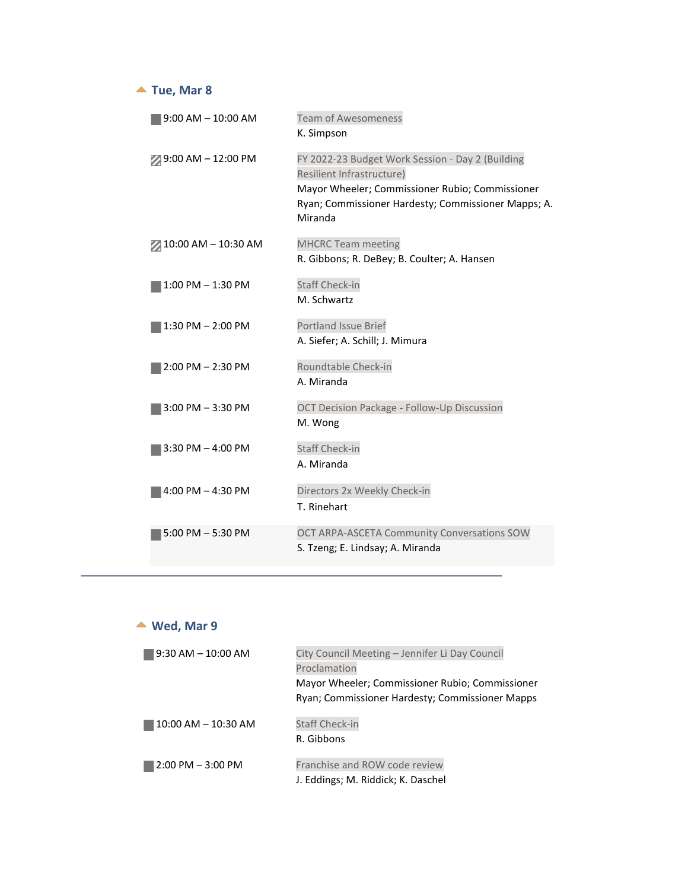### ▲ Tue, Mar 8

<span id="page-2-0"></span>

| $9:00$ AM $-10:00$ AM  | <b>Team of Awesomeness</b>                                                                                                                                                                         |
|------------------------|----------------------------------------------------------------------------------------------------------------------------------------------------------------------------------------------------|
|                        | K. Simpson                                                                                                                                                                                         |
| $9:00$ AM $- 12:00$ PM | FY 2022-23 Budget Work Session - Day 2 (Building<br>Resilient Infrastructure)<br>Mayor Wheeler; Commissioner Rubio; Commissioner<br>Ryan; Commissioner Hardesty; Commissioner Mapps; A.<br>Miranda |
| 2 10:00 AM - 10:30 AM  | <b>MHCRC Team meeting</b><br>R. Gibbons; R. DeBey; B. Coulter; A. Hansen                                                                                                                           |
| 1:00 PM - 1:30 PM      | <b>Staff Check-in</b><br>M. Schwartz                                                                                                                                                               |
| $1:30$ PM $- 2:00$ PM  | <b>Portland Issue Brief</b><br>A. Siefer; A. Schill; J. Mimura                                                                                                                                     |
| $2:00$ PM $- 2:30$ PM  | Roundtable Check-in<br>A. Miranda                                                                                                                                                                  |
| $3:00$ PM $-3:30$ PM   | OCT Decision Package - Follow-Up Discussion<br>M. Wong                                                                                                                                             |
| $3:30$ PM $- 4:00$ PM  | <b>Staff Check-in</b><br>A. Miranda                                                                                                                                                                |
| $4:00$ PM $- 4:30$ PM  | Directors 2x Weekly Check-in<br>T. Rinehart                                                                                                                                                        |
| $5:00$ PM $-5:30$ PM   | OCT ARPA-ASCETA Community Conversations SOW<br>S. Tzeng; E. Lindsay; A. Miranda                                                                                                                    |

<span id="page-2-1"></span>

| Wed, Mar 9              |                                                                                                                                                                      |
|-------------------------|----------------------------------------------------------------------------------------------------------------------------------------------------------------------|
| $9:30$ AM $-10:00$ AM   | City Council Meeting - Jennifer Li Day Council<br>Proclamation<br>Mayor Wheeler; Commissioner Rubio; Commissioner<br>Ryan; Commissioner Hardesty; Commissioner Mapps |
| $10:00$ AM $- 10:30$ AM | <b>Staff Check-in</b><br>R. Gibbons                                                                                                                                  |
| $2:00$ PM $-3:00$ PM    | Franchise and ROW code review<br>J. Eddings; M. Riddick; K. Daschel                                                                                                  |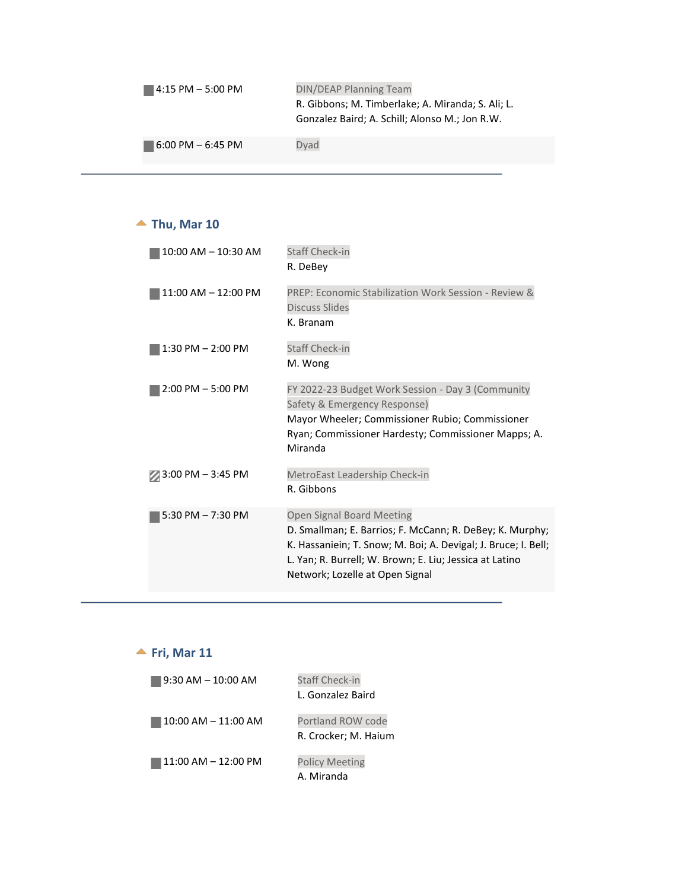| $14:15$ PM $-5:00$ PM | <b>DIN/DEAP Planning Team</b>                                                                       |  |  |
|-----------------------|-----------------------------------------------------------------------------------------------------|--|--|
|                       | R. Gibbons; M. Timberlake; A. Miranda; S. Ali; L.<br>Gonzalez Baird; A. Schill; Alonso M.; Jon R.W. |  |  |
|                       |                                                                                                     |  |  |
| 16:00 PM – 6:45 PM    | Dvad                                                                                                |  |  |

## ▲ Thu, Mar 10

<span id="page-3-0"></span>

| 10:00 AM - 10:30 AM    | <b>Staff Check-in</b>                                          |
|------------------------|----------------------------------------------------------------|
|                        | R. DeBev                                                       |
| $11:00$ AM $-12:00$ PM | PREP: Economic Stabilization Work Session - Review &           |
|                        | <b>Discuss Slides</b>                                          |
|                        | K. Branam                                                      |
| $1:30$ PM $- 2:00$ PM  | <b>Staff Check-in</b>                                          |
|                        | M. Wong                                                        |
| $2:00$ PM $-5:00$ PM   | FY 2022-23 Budget Work Session - Day 3 (Community              |
|                        | Safety & Emergency Response)                                   |
|                        | Mayor Wheeler; Commissioner Rubio; Commissioner                |
|                        | Ryan; Commissioner Hardesty; Commissioner Mapps; A.            |
|                        | Miranda                                                        |
| 3:00 PM - 3:45 PM      | MetroEast Leadership Check-in                                  |
|                        | R. Gibbons                                                     |
| 5:30 PM $-7:30$ PM     | Open Signal Board Meeting                                      |
|                        | D. Smallman; E. Barrios; F. McCann; R. DeBey; K. Murphy;       |
|                        | K. Hassaniein; T. Snow; M. Boi; A. Devigal; J. Bruce; I. Bell; |
|                        | L. Yan; R. Burrell; W. Brown; E. Liu; Jessica at Latino        |
|                        | Network; Lozelle at Open Signal                                |
|                        |                                                                |

<span id="page-3-1"></span>

| Fri, Mar 11             |                       |
|-------------------------|-----------------------|
| $9:30$ AM $-$ 10:00 AM  | <b>Staff Check-in</b> |
|                         | L. Gonzalez Baird     |
| $10:00$ AM $- 11:00$ AM | Portland ROW code     |
|                         | R. Crocker; M. Haium  |
| $11:00$ AM $- 12:00$ PM | <b>Policy Meeting</b> |
|                         | A. Miranda            |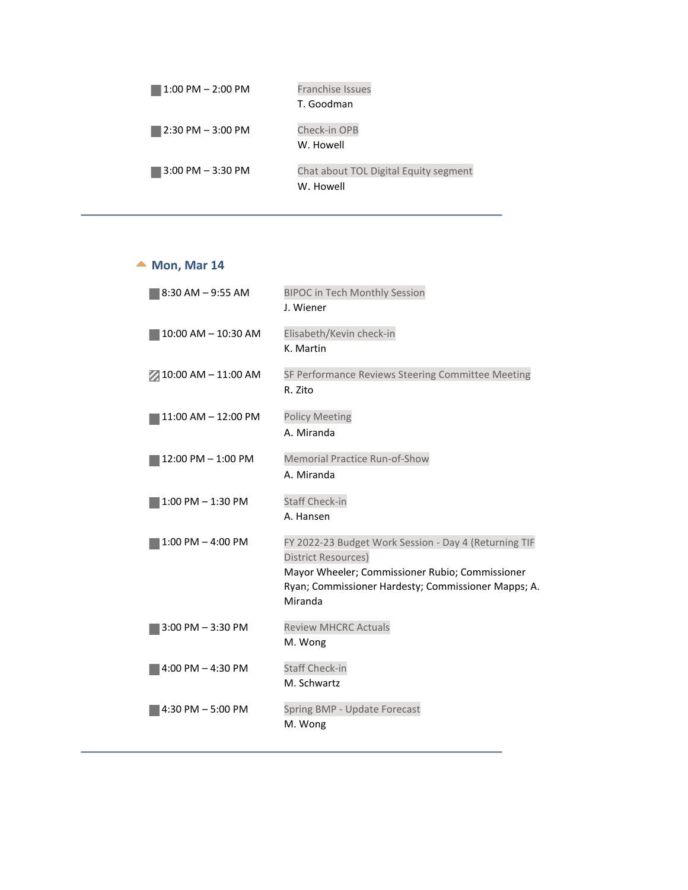| $1:00$ PM $- 2:00$ PM | <b>Franchise Issues</b>               |
|-----------------------|---------------------------------------|
|                       | T. Goodman                            |
| $2:30$ PM $-3:00$ PM  | Check-in OPB                          |
|                       | W. Howell                             |
| $3:00$ PM $-3:30$ PM  | Chat about TOL Digital Equity segment |
|                       | W. Howell                             |

#### ▲ Mon, Mar 14

<span id="page-4-0"></span>

| SF Performance Reviews Steering Committee Meeting                                                                                                               |
|-----------------------------------------------------------------------------------------------------------------------------------------------------------------|
|                                                                                                                                                                 |
|                                                                                                                                                                 |
|                                                                                                                                                                 |
| FY 2022-23 Budget Work Session - Day 4 (Returning TIF<br>Mayor Wheeler; Commissioner Rubio; Commissioner<br>Ryan; Commissioner Hardesty; Commissioner Mapps; A. |
|                                                                                                                                                                 |
|                                                                                                                                                                 |
|                                                                                                                                                                 |
|                                                                                                                                                                 |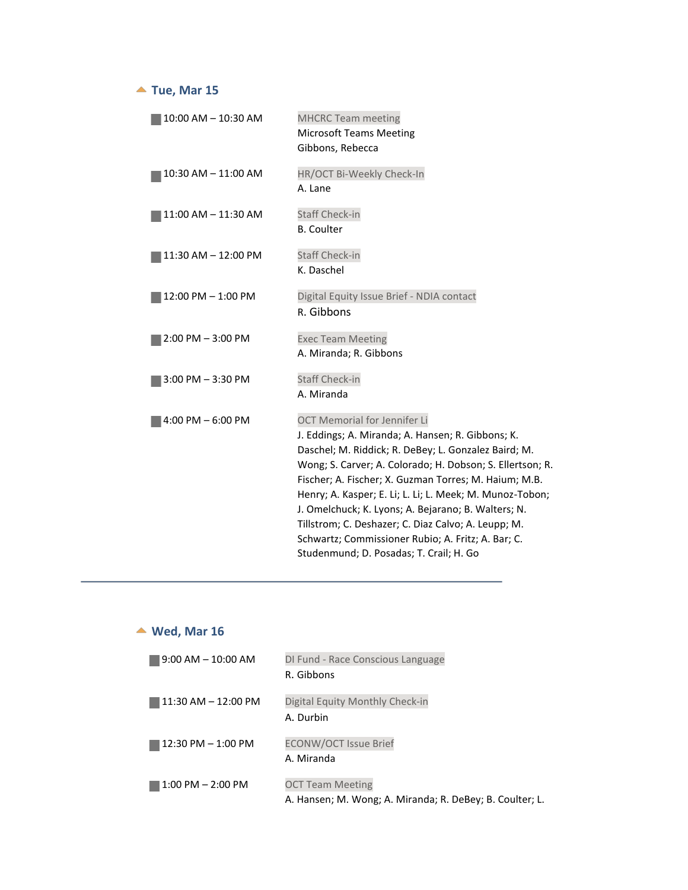#### ▲ Tue, Mar 15

<span id="page-5-0"></span>

| 10:00 AM - 10:30 AM  | <b>MHCRC Team meeting</b><br><b>Microsoft Teams Meeting</b><br>Gibbons, Rebecca                                                                                                                                                                                                                                                                                                                                                                                                                                                                   |
|----------------------|---------------------------------------------------------------------------------------------------------------------------------------------------------------------------------------------------------------------------------------------------------------------------------------------------------------------------------------------------------------------------------------------------------------------------------------------------------------------------------------------------------------------------------------------------|
| 10:30 AM - 11:00 AM  | HR/OCT Bi-Weekly Check-In<br>A. Lane                                                                                                                                                                                                                                                                                                                                                                                                                                                                                                              |
| 11:00 AM - 11:30 AM  | <b>Staff Check-in</b><br><b>B.</b> Coulter                                                                                                                                                                                                                                                                                                                                                                                                                                                                                                        |
| 11:30 AM - 12:00 PM  | <b>Staff Check-in</b><br>K. Daschel                                                                                                                                                                                                                                                                                                                                                                                                                                                                                                               |
| 12:00 PM - 1:00 PM   | Digital Equity Issue Brief - NDIA contact<br>R. Gibbons                                                                                                                                                                                                                                                                                                                                                                                                                                                                                           |
| $2:00$ PM $-3:00$ PM | <b>Exec Team Meeting</b><br>A. Miranda; R. Gibbons                                                                                                                                                                                                                                                                                                                                                                                                                                                                                                |
| $3:00$ PM $-3:30$ PM | <b>Staff Check-in</b><br>A. Miranda                                                                                                                                                                                                                                                                                                                                                                                                                                                                                                               |
| $4:00$ PM $-6:00$ PM | <b>OCT Memorial for Jennifer Li</b><br>J. Eddings; A. Miranda; A. Hansen; R. Gibbons; K.<br>Daschel; M. Riddick; R. DeBey; L. Gonzalez Baird; M.<br>Wong; S. Carver; A. Colorado; H. Dobson; S. Ellertson; R.<br>Fischer; A. Fischer; X. Guzman Torres; M. Haium; M.B.<br>Henry; A. Kasper; E. Li; L. Li; L. Meek; M. Munoz-Tobon;<br>J. Omelchuck; K. Lyons; A. Bejarano; B. Walters; N.<br>Tillstrom; C. Deshazer; C. Diaz Calvo; A. Leupp; M.<br>Schwartz; Commissioner Rubio; A. Fritz; A. Bar; C.<br>Studenmund; D. Posadas; T. Crail; H. Go |

# **Wed, Mar 16**

<span id="page-5-1"></span>

| $9:00 \text{ AM} - 10:00 \text{ AM}$ | DI Fund - Race Conscious Language                        |
|--------------------------------------|----------------------------------------------------------|
|                                      | R. Gibbons                                               |
| $11:30 AM - 12:00 PM$                | Digital Equity Monthly Check-in                          |
|                                      | A. Durbin                                                |
| $12:30 \text{ PM} - 1:00 \text{ PM}$ | <b>ECONW/OCT Issue Brief</b>                             |
|                                      | A. Miranda                                               |
| $1:00$ PM $- 2:00$ PM                | <b>OCT Team Meeting</b>                                  |
|                                      | A. Hansen; M. Wong; A. Miranda; R. DeBey; B. Coulter; L. |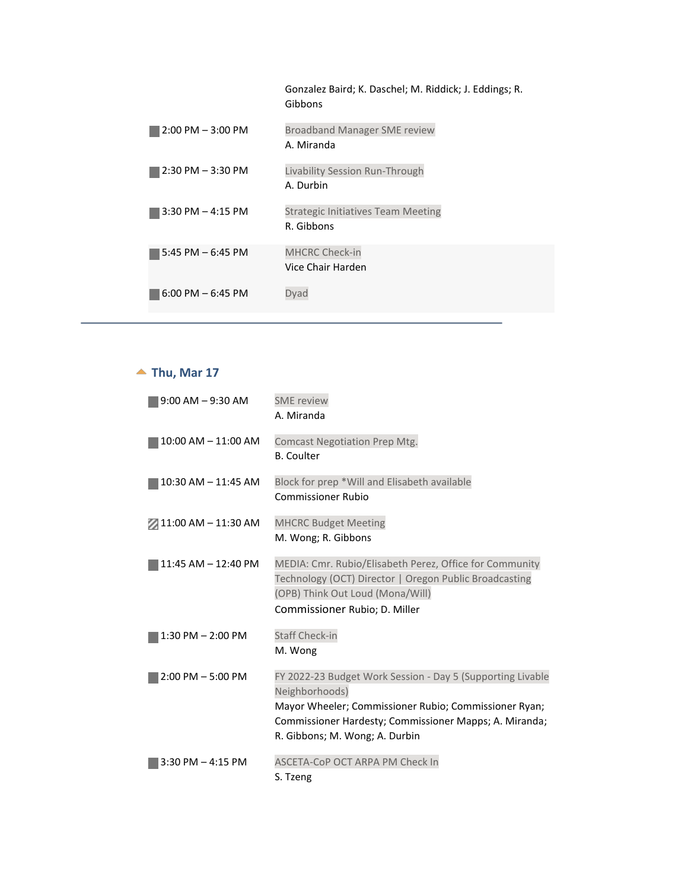|                      | Gonzalez Baird; K. Daschel; M. Riddick; J. Eddings; R.<br>Gibbons |
|----------------------|-------------------------------------------------------------------|
| $2:00$ PM $-3:00$ PM | <b>Broadband Manager SME review</b>                               |
|                      | A. Miranda                                                        |
| $2:30$ PM $-3:30$ PM | Livability Session Run-Through                                    |
|                      | A. Durbin                                                         |
| $3:30$ PM $-4:15$ PM | <b>Strategic Initiatives Team Meeting</b>                         |
|                      | R. Gibbons                                                        |
| 5:45 PM $-6:45$ PM   | <b>MHCRC Check-in</b>                                             |
|                      | Vice Chair Harden                                                 |
| $6:00$ PM $-6:45$ PM | Dyad                                                              |

## **Thu, Mar 17**

<span id="page-6-0"></span>

| $9:00$ AM $-9:30$ AM  | <b>SME</b> review<br>A. Miranda                                                                                                                                                                                                   |
|-----------------------|-----------------------------------------------------------------------------------------------------------------------------------------------------------------------------------------------------------------------------------|
| 10:00 AM - 11:00 AM   | <b>Comcast Negotiation Prep Mtg.</b><br><b>B.</b> Coulter                                                                                                                                                                         |
| 10:30 AM - 11:45 AM   | Block for prep *Will and Elisabeth available<br>Commissioner Rubio                                                                                                                                                                |
| 2 11:00 AM - 11:30 AM | <b>MHCRC Budget Meeting</b><br>M. Wong; R. Gibbons                                                                                                                                                                                |
| 11:45 AM - 12:40 PM   | MEDIA: Cmr. Rubio/Elisabeth Perez, Office for Community<br>Technology (OCT) Director   Oregon Public Broadcasting<br>(OPB) Think Out Loud (Mona/Will)<br>Commissioner Rubio; D. Miller                                            |
| 1:30 PM - 2:00 PM     | <b>Staff Check-in</b><br>M. Wong                                                                                                                                                                                                  |
| $2:00$ PM $-5:00$ PM  | FY 2022-23 Budget Work Session - Day 5 (Supporting Livable<br>Neighborhoods)<br>Mayor Wheeler; Commissioner Rubio; Commissioner Ryan;<br>Commissioner Hardesty; Commissioner Mapps; A. Miranda;<br>R. Gibbons; M. Wong; A. Durbin |
| $3:30$ PM $-4:15$ PM  | ASCETA-CoP OCT ARPA PM Check In<br>S. Tzeng                                                                                                                                                                                       |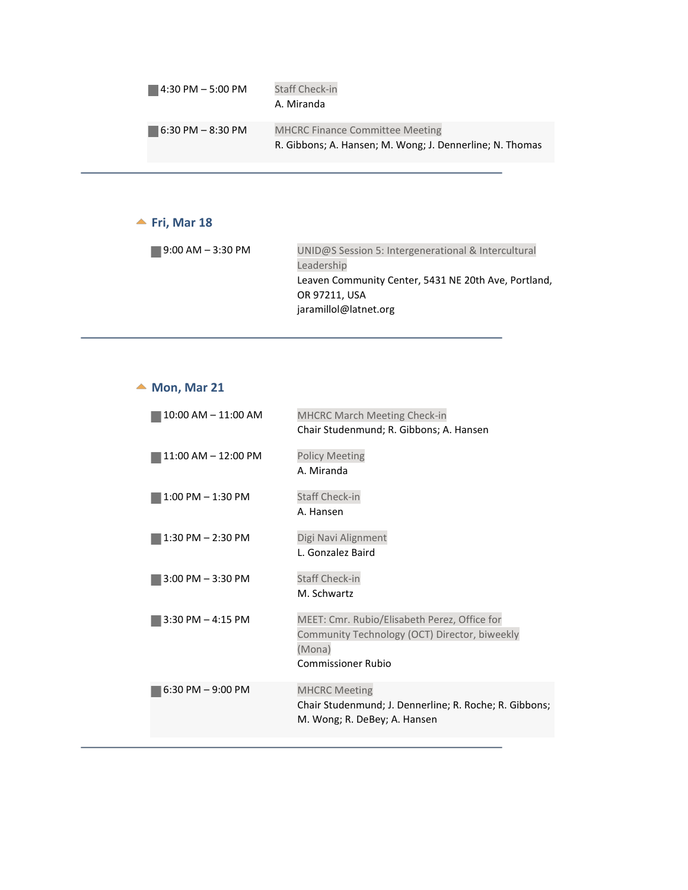| $14:30$ PM $-5:00$ PM                | <b>Staff Check-in</b><br>A. Miranda                                                                |
|--------------------------------------|----------------------------------------------------------------------------------------------------|
| $16:30 \text{ PM} - 8:30 \text{ PM}$ | <b>MHCRC Finance Committee Meeting</b><br>R. Gibbons; A. Hansen; M. Wong; J. Dennerline; N. Thomas |

#### $\blacktriangle$  Fri, Mar 18

<span id="page-7-0"></span>

| 9:00 AM – 3:30 PM | UNID@S Session 5: Intergenerational & Intercultural  |
|-------------------|------------------------------------------------------|
|                   | Leadership                                           |
|                   | Leaven Community Center, 5431 NE 20th Ave, Portland, |
|                   | OR 97211, USA                                        |
|                   | jaramillol@latnet.org                                |

### ▲ Mon, Mar 21

<span id="page-7-1"></span>

| 10:00 AM - 11:00 AM     | <b>MHCRC March Meeting Check-in</b><br>Chair Studenmund; R. Gibbons; A. Hansen                                                       |
|-------------------------|--------------------------------------------------------------------------------------------------------------------------------------|
| $11:00$ AM $- 12:00$ PM | <b>Policy Meeting</b><br>A. Miranda                                                                                                  |
| $1:00$ PM $-1:30$ PM    | <b>Staff Check-in</b><br>A. Hansen                                                                                                   |
| $1:30$ PM $- 2:30$ PM   | Digi Navi Alignment<br>L. Gonzalez Baird                                                                                             |
| $3:00$ PM $-3:30$ PM    | <b>Staff Check-in</b><br>M. Schwartz                                                                                                 |
| $3:30$ PM $-$ 4:15 PM   | MEET: Cmr. Rubio/Elisabeth Perez, Office for<br>Community Technology (OCT) Director, biweekly<br>(Mona)<br><b>Commissioner Rubio</b> |
| $6:30$ PM $-9:00$ PM    | <b>MHCRC Meeting</b><br>Chair Studenmund; J. Dennerline; R. Roche; R. Gibbons;<br>M. Wong; R. DeBey; A. Hansen                       |
|                         |                                                                                                                                      |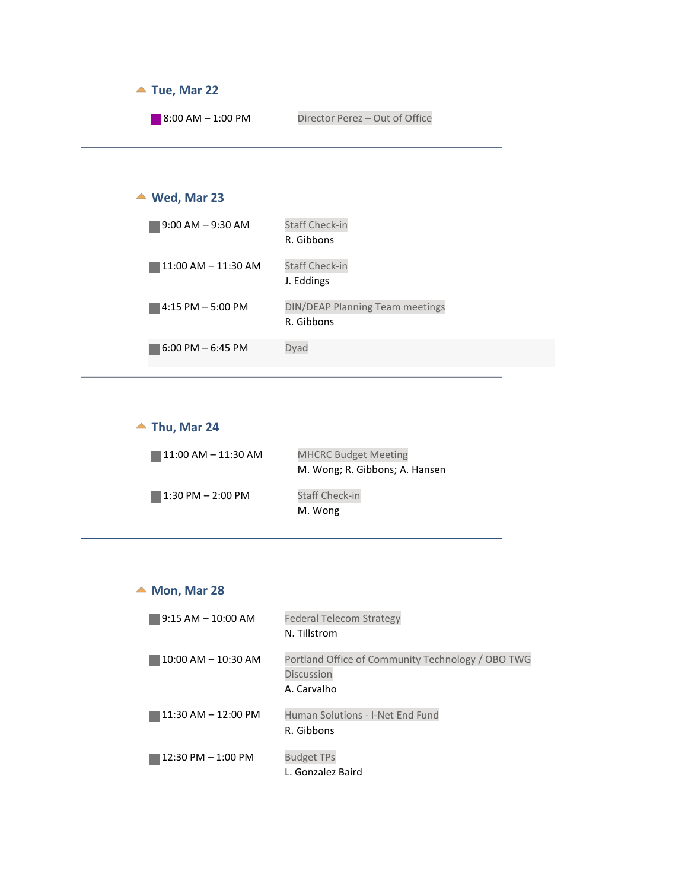<span id="page-8-1"></span><span id="page-8-0"></span>

#### ▲ Thu, Mar 24

<span id="page-8-2"></span>

| 11:00 AM – 11:30 AM | <b>MHCRC Budget Meeting</b><br>M. Wong; R. Gibbons; A. Hansen |
|---------------------|---------------------------------------------------------------|
| 1:30 PM – 2:00 PM   | <b>Staff Check-in</b><br>M. Wong                              |

#### ▲ Mon, Mar 28

<span id="page-8-3"></span>

| $9:15$ AM $-10:00$ AM   | <b>Federal Telecom Strategy</b><br>N. Tillstrom                                       |
|-------------------------|---------------------------------------------------------------------------------------|
| $10:00$ AM $- 10:30$ AM | Portland Office of Community Technology / OBO TWG<br><b>Discussion</b><br>A. Carvalho |
| $11:30$ AM $- 12:00$ PM | Human Solutions - I-Net End Fund<br>R. Gibbons                                        |
| $12:30$ PM $- 1:00$ PM  | <b>Budget TPs</b><br>L. Gonzalez Baird                                                |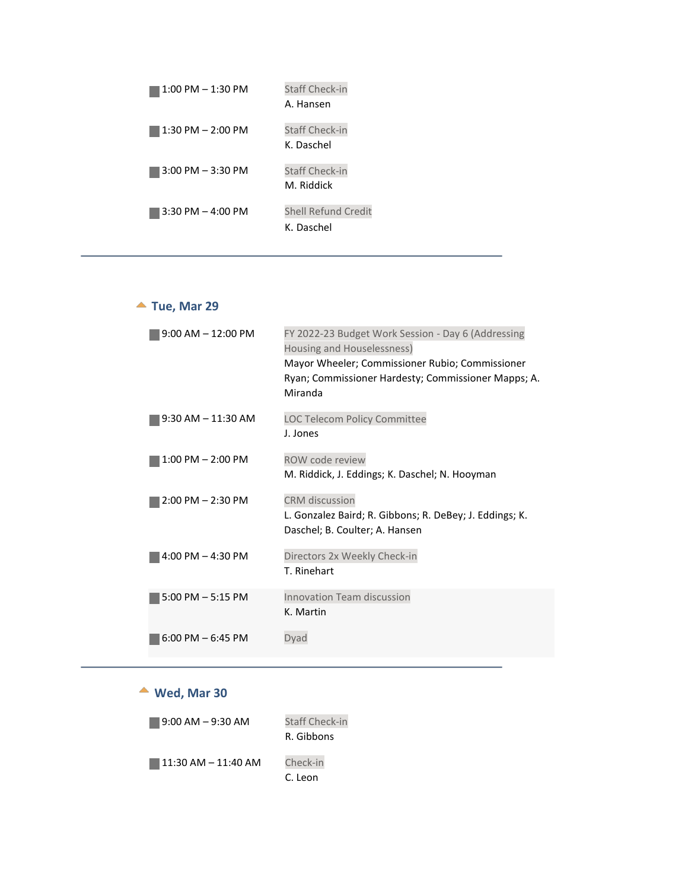| $1:00$ PM $-1:30$ PM  | <b>Staff Check-in</b><br>A. Hansen       |
|-----------------------|------------------------------------------|
| $1:30$ PM $- 2:00$ PM | <b>Staff Check-in</b><br>K. Daschel      |
| $3:00$ PM $-3:30$ PM  | <b>Staff Check-in</b><br>M. Riddick      |
| $3:30$ PM $-4:00$ PM  | <b>Shell Refund Credit</b><br>K. Daschel |

### ▲ Tue, Mar 29

<span id="page-9-0"></span>

| $9:00$ AM $-12:00$ PM  | FY 2022-23 Budget Work Session - Day 6 (Addressing<br>Housing and Houselessness) |
|------------------------|----------------------------------------------------------------------------------|
|                        | Mayor Wheeler; Commissioner Rubio; Commissioner                                  |
|                        | Ryan; Commissioner Hardesty; Commissioner Mapps; A.<br>Miranda                   |
| $9:30$ AM $- 11:30$ AM | <b>LOC Telecom Policy Committee</b>                                              |
|                        | J. Jones                                                                         |
| $1:00$ PM $- 2:00$ PM  | <b>ROW code review</b>                                                           |
|                        | M. Riddick, J. Eddings; K. Daschel; N. Hooyman                                   |
| $2:00$ PM $- 2:30$ PM  | <b>CRM</b> discussion                                                            |
|                        | L. Gonzalez Baird; R. Gibbons; R. DeBey; J. Eddings; K.                          |
|                        | Daschel; B. Coulter; A. Hansen                                                   |
| 4:00 PM $-$ 4:30 PM    | Directors 2x Weekly Check-in                                                     |
|                        | T. Rinehart                                                                      |
| $5:00$ PM $-5:15$ PM   | Innovation Team discussion                                                       |
|                        | K. Martin                                                                        |
| $6:00$ PM $-6:45$ PM   | Dvad                                                                             |

### **Wed, Mar 30**

<span id="page-9-1"></span>

| $9:00$ AM $-9:30$ AM | Staff Check-in<br>R. Gibbons |
|----------------------|------------------------------|
| 11:30 AM - 11:40 AM  | Check-in<br>C. Leon          |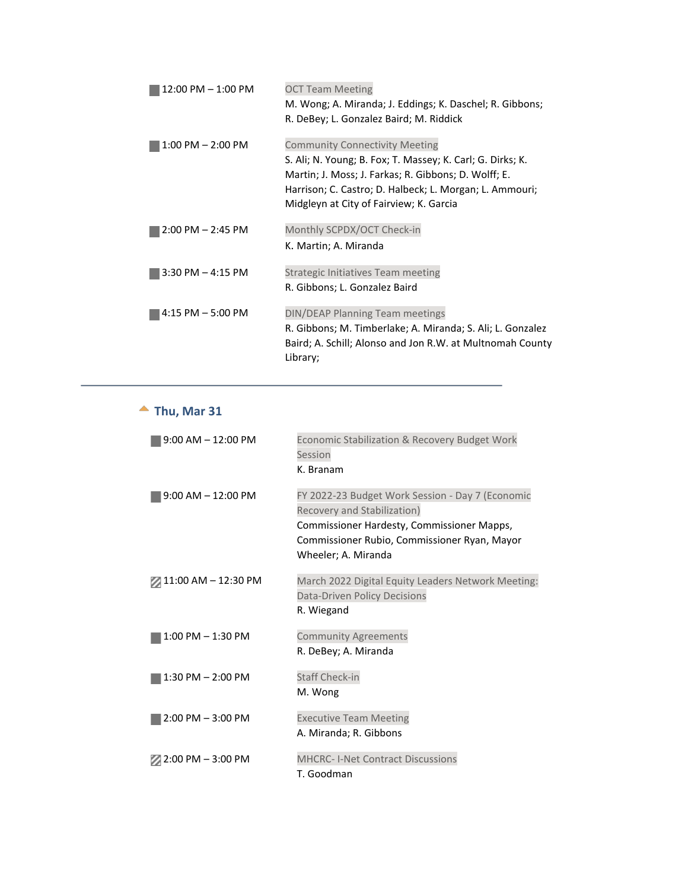| 12:00 PM - 1:00 PM    | <b>OCT Team Meeting</b>                                                                                            |
|-----------------------|--------------------------------------------------------------------------------------------------------------------|
|                       | M. Wong; A. Miranda; J. Eddings; K. Daschel; R. Gibbons;                                                           |
|                       | R. DeBey; L. Gonzalez Baird; M. Riddick                                                                            |
| $1:00$ PM $- 2:00$ PM | <b>Community Connectivity Meeting</b>                                                                              |
|                       | S. Ali; N. Young; B. Fox; T. Massey; K. Carl; G. Dirks; K.<br>Martin; J. Moss; J. Farkas; R. Gibbons; D. Wolff; E. |
|                       | Harrison; C. Castro; D. Halbeck; L. Morgan; L. Ammouri;                                                            |
|                       | Midgleyn at City of Fairview; K. Garcia                                                                            |
| $2:00$ PM $- 2:45$ PM | Monthly SCPDX/OCT Check-in                                                                                         |
|                       | K. Martin; A. Miranda                                                                                              |
| $3:30$ PM $-4:15$ PM  | <b>Strategic Initiatives Team meeting</b>                                                                          |
|                       | R. Gibbons; L. Gonzalez Baird                                                                                      |
| $4:15$ PM $-5:00$ PM  | DIN/DEAP Planning Team meetings                                                                                    |
|                       | R. Gibbons; M. Timberlake; A. Miranda; S. Ali; L. Gonzalez                                                         |
|                       | Baird; A. Schill; Alonso and Jon R.W. at Multnomah County<br>Library;                                              |
|                       |                                                                                                                    |

# **Thu, Mar 31**

<span id="page-10-0"></span>

| $9:00$ AM $-12:00$ PM | Economic Stabilization & Recovery Budget Work<br>Session<br>K. Branam                                                                                                                                |
|-----------------------|------------------------------------------------------------------------------------------------------------------------------------------------------------------------------------------------------|
| $9:00$ AM $-12:00$ PM | FY 2022-23 Budget Work Session - Day 7 (Economic<br>Recovery and Stabilization)<br>Commissioner Hardesty, Commissioner Mapps,<br>Commissioner Rubio, Commissioner Ryan, Mayor<br>Wheeler; A. Miranda |
| $21:00$ AM - 12:30 PM | March 2022 Digital Equity Leaders Network Meeting:<br>Data-Driven Policy Decisions<br>R. Wiegand                                                                                                     |
| $1:00$ PM $- 1:30$ PM | <b>Community Agreements</b><br>R. DeBey; A. Miranda                                                                                                                                                  |
| 1:30 PM - 2:00 PM     | <b>Staff Check-in</b><br>M. Wong                                                                                                                                                                     |
| $2:00$ PM $-3:00$ PM  | <b>Executive Team Meeting</b><br>A. Miranda; R. Gibbons                                                                                                                                              |
| $2:00$ PM $-3:00$ PM  | <b>MHCRC-I-Net Contract Discussions</b><br>T. Goodman                                                                                                                                                |